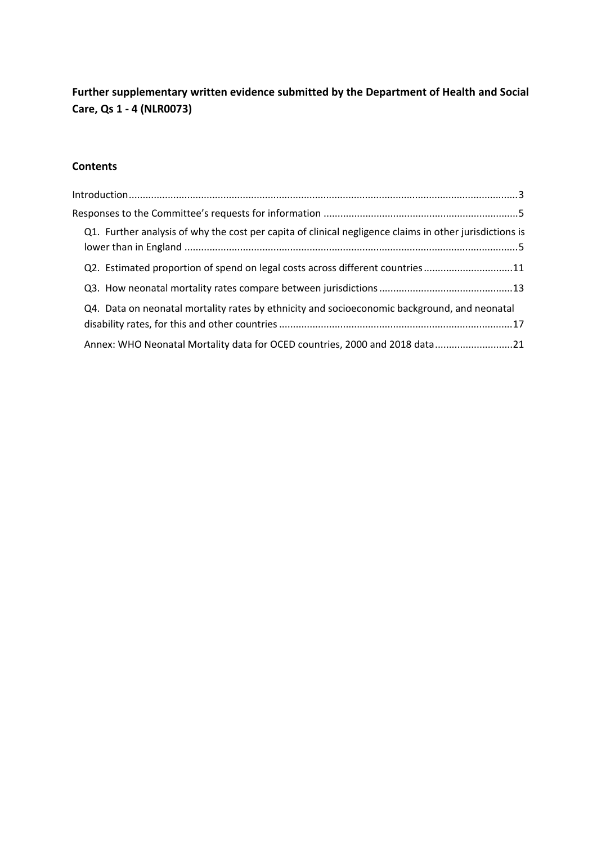# **Further supplementary written evidence submitted by the Department of Health and Social Care, Qs 1 - 4 (NLR0073)**

# **Contents**

| Q1. Further analysis of why the cost per capita of clinical negligence claims in other jurisdictions is |  |
|---------------------------------------------------------------------------------------------------------|--|
| Q2. Estimated proportion of spend on legal costs across different countries11                           |  |
|                                                                                                         |  |
| Q4. Data on neonatal mortality rates by ethnicity and socioeconomic background, and neonatal            |  |
| Annex: WHO Neonatal Mortality data for OCED countries, 2000 and 2018 data21                             |  |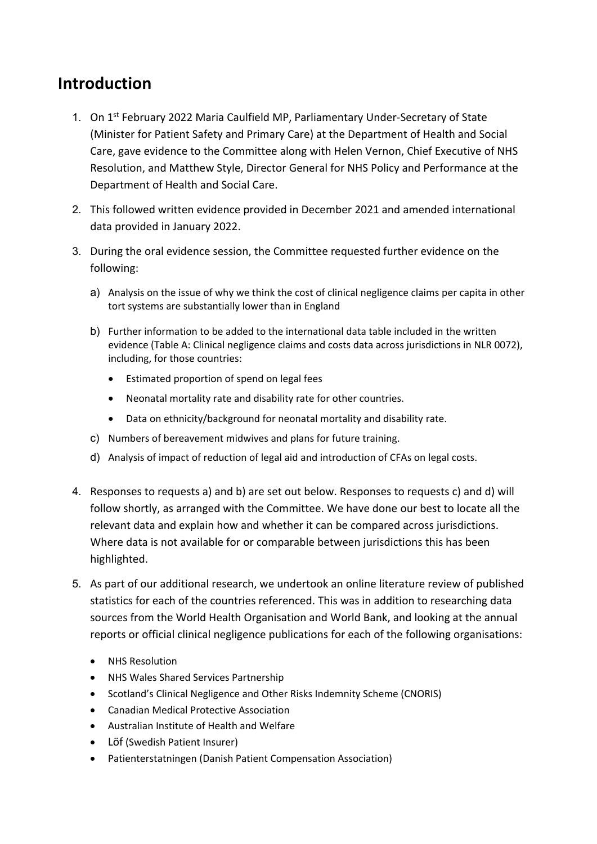# <span id="page-1-0"></span>**Introduction**

- 1. On 1<sup>st</sup> February 2022 Maria Caulfield MP, Parliamentary Under-Secretary of State (Minister for Patient Safety and Primary Care) at the Department of Health and Social Care, gave evidence to the Committee along with Helen Vernon, Chief Executive of NHS Resolution, and Matthew Style, Director General for NHS Policy and Performance at the Department of Health and Social Care.
- 2. This followed written evidence provided in December 2021 and amended international data provided in January 2022.
- 3. During the oral evidence session, the Committee requested further evidence on the following:
	- a) Analysis on the issue of why we think the cost of clinical negligence claims per capita in other tort systems are substantially lower than in England
	- b) Further information to be added to the international data table included in the written evidence (Table A: Clinical negligence claims and costs data across jurisdictions in NLR 0072), including, for those countries:
		- Estimated proportion of spend on legal fees
		- Neonatal mortality rate and disability rate for other countries.
		- Data on ethnicity/background for neonatal mortality and disability rate.
	- c) Numbers of bereavement midwives and plans for future training.
	- d) Analysis of impact of reduction of legal aid and introduction of CFAs on legal costs.
- 4. Responses to requests a) and b) are set out below. Responses to requests c) and d) will follow shortly, as arranged with the Committee. We have done our best to locate all the relevant data and explain how and whether it can be compared across jurisdictions. Where data is not available for or comparable between jurisdictions this has been highlighted.
- 5. As part of our additional research, we undertook an online literature review of published statistics for each of the countries referenced. This was in addition to researching data sources from the World Health Organisation and World Bank, and looking at the annual reports or official clinical negligence publications for each of the following organisations:
	- NHS Resolution
	- NHS Wales Shared Services Partnership
	- Scotland's Clinical Negligence and Other Risks Indemnity Scheme (CNORIS)
	- Canadian Medical Protective Association
	- Australian Institute of Health and Welfare
	- Löf (Swedish Patient Insurer)
	- Patienterstatningen (Danish Patient Compensation Association)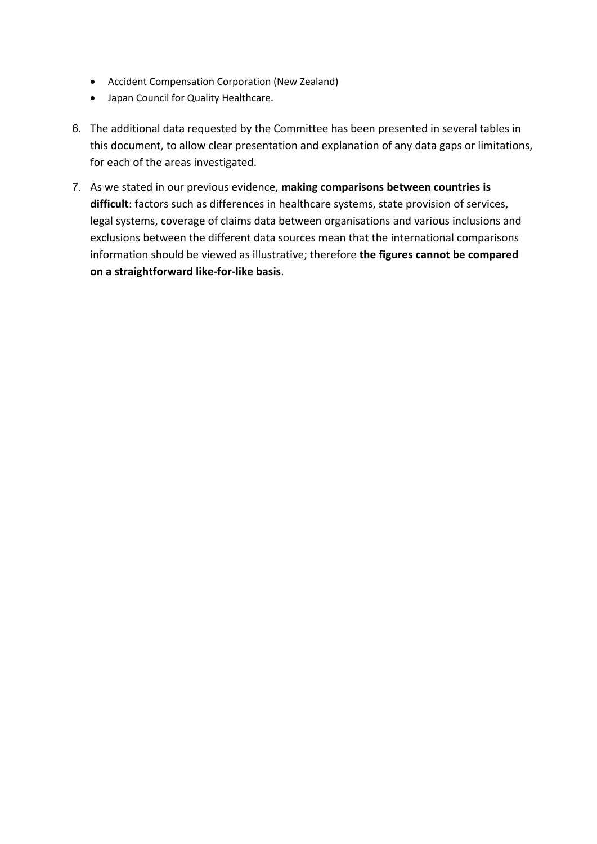- Accident Compensation Corporation (New Zealand)
- Japan Council for Quality Healthcare.
- 6. The additional data requested by the Committee has been presented in several tables in this document, to allow clear presentation and explanation of any data gaps or limitations, for each of the areas investigated.
- 7. As we stated in our previous evidence, **making comparisons between countries is difficult**: factors such as differences in healthcare systems, state provision of services, legal systems, coverage of claims data between organisations and various inclusions and exclusions between the different data sources mean that the international comparisons information should be viewed as illustrative; therefore **the figures cannot be compared on a straightforward like-for-like basis**.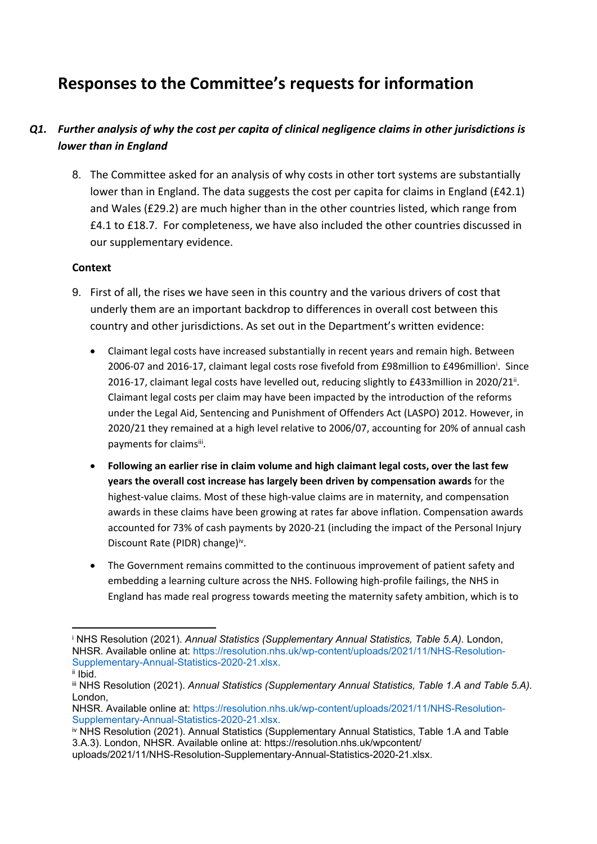# <span id="page-3-0"></span>**Responses to the Committee's requests for information**

# <span id="page-3-1"></span>*Q1. Further analysis of why the cost per capita of clinical negligence claims in other jurisdictions is lower than in England*

8. The Committee asked for an analysis of why costs in other tort systems are substantially lower than in England. The data suggests the cost per capita for claims in England (£42.1) and Wales (£29.2) are much higher than in the other countries listed, which range from £4.1 to £18.7. For completeness, we have also included the other countries discussed in our supplementary evidence.

#### **Context**

- 9. First of all, the rises we have seen in this country and the various drivers of cost that underly them are an important backdrop to differences in overall cost between this country and other jurisdictions. As set out in the Department's written evidence:
	- Claimant legal costs have increased substantially in recent years and remain high. Between 2006-07 and 2016-17, claimant legal costs rose fivefold from £98million to £496million<sup>i</sup>. Since 2016-17, claimant legal costs have levelled out, reducing slightly to £433million in 2020/21<sup>ii</sup>. Claimant legal costs per claim may have been impacted by the introduction of the reforms under the Legal Aid, Sentencing and Punishment of Offenders Act (LASPO) 2012. However, in 2020/21 they remained at a high level relative to 2006/07, accounting for 20% of annual cash payments for claimsiii.
	- **Following an earlier rise in claim volume and high claimant legal costs, over the last few years the overall cost increase has largely been driven by compensation awards** for the highest-value claims. Most of these high-value claims are in maternity, and compensation awards in these claims have been growing at rates far above inflation. Compensation awards accounted for 73% of cash payments by 2020-21 (including the impact of the Personal Injury Discount Rate (PIDR) change)iv.
	- The Government remains committed to the continuous improvement of patient safety and embedding a learning culture across the NHS. Following high-profile failings, the NHS in England has made real progress towards meeting the maternity safety ambition, which is to

<sup>i</sup> NHS Resolution (2021). *Annual Statistics (Supplementary Annual Statistics, Table 5.A).* London, NHSR. Available online at: https://resolution.nhs.uk/wp-content/uploads/2021/11/NHS-Resolution-Supplementary-Annual-Statistics-2020-21.xlsx. ii Ibid.

iii NHS Resolution (2021). *Annual Statistics (Supplementary Annual Statistics, Table 1.A and Table 5.A).* London,

NHSR. Available online at: https://resolution.nhs.uk/wp-content/uploads/2021/11/NHS-Resolution-Supplementary-Annual-Statistics-2020-21.xlsx.

iv NHS Resolution (2021). Annual Statistics (Supplementary Annual Statistics, Table 1.A and Table 3.A.3). London, NHSR. Available online at: https://resolution.nhs.uk/wpcontent/ uploads/2021/11/NHS-Resolution-Supplementary-Annual-Statistics-2020-21.xlsx.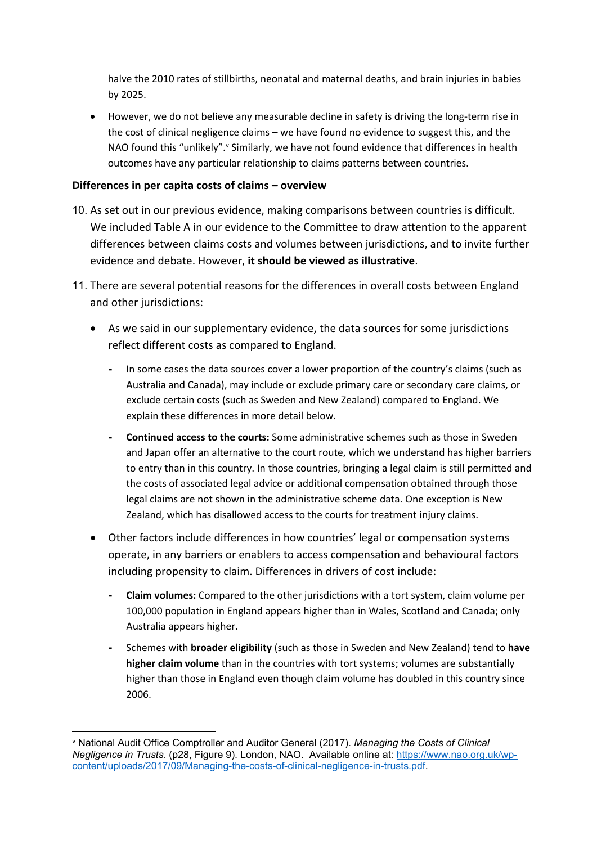halve the 2010 rates of stillbirths, neonatal and maternal deaths, and brain injuries in babies by 2025.

 However, we do not believe any measurable decline in safety is driving the long-term rise in the cost of clinical negligence claims – we have found no evidence to suggest this, and the NAO found this "unlikely". " Similarly, we have not found evidence that differences in health outcomes have any particular relationship to claims patterns between countries.

## **Differences in per capita costs of claims – overview**

- 10. As set out in our previous evidence, making comparisons between countries is difficult. We included Table A in our evidence to the Committee to draw attention to the apparent differences between claims costs and volumes between jurisdictions, and to invite further evidence and debate. However, **it should be viewed as illustrative**.
- 11. There are several potential reasons for the differences in overall costs between England and other jurisdictions:
	- As we said in our supplementary evidence, the data sources for some jurisdictions reflect different costs as compared to England.
		- **-** In some cases the data sources cover a lower proportion of the country's claims (such as Australia and Canada), may include or exclude primary care or secondary care claims, or exclude certain costs (such as Sweden and New Zealand) compared to England. We explain these differences in more detail below.
		- **- Continued access to the courts:** Some administrative schemes such as those in Sweden and Japan offer an alternative to the court route, which we understand has higher barriers to entry than in this country. In those countries, bringing a legal claim is still permitted and the costs of associated legal advice or additional compensation obtained through those legal claims are not shown in the administrative scheme data. One exception is New Zealand, which has disallowed access to the courts for treatment injury claims.
	- Other factors include differences in how countries' legal or compensation systems operate, in any barriers or enablers to access compensation and behavioural factors including propensity to claim. Differences in drivers of cost include:
		- **- Claim volumes:** Compared to the other jurisdictions with a tort system, claim volume per 100,000 population in England appears higher than in Wales, Scotland and Canada; only Australia appears higher.
		- **-** Schemes with **broader eligibility** (such as those in Sweden and New Zealand) tend to **have higher claim volume** than in the countries with tort systems; volumes are substantially higher than those in England even though claim volume has doubled in this country since 2006.

<sup>v</sup> National Audit Office Comptroller and Auditor General (2017). *Managing the Costs of Clinical Negligence in Trusts*. (p28, Figure 9). London, NAO. Available online at: [https://www.nao.org.uk/wp](https://www.nao.org.uk/wp-content/uploads/2017/09/Managing-the-costs-of-clinical-negligence-in-trusts.pdf)[content/uploads/2017/09/Managing-the-costs-of-clinical-negligence-in-trusts.pdf](https://www.nao.org.uk/wp-content/uploads/2017/09/Managing-the-costs-of-clinical-negligence-in-trusts.pdf).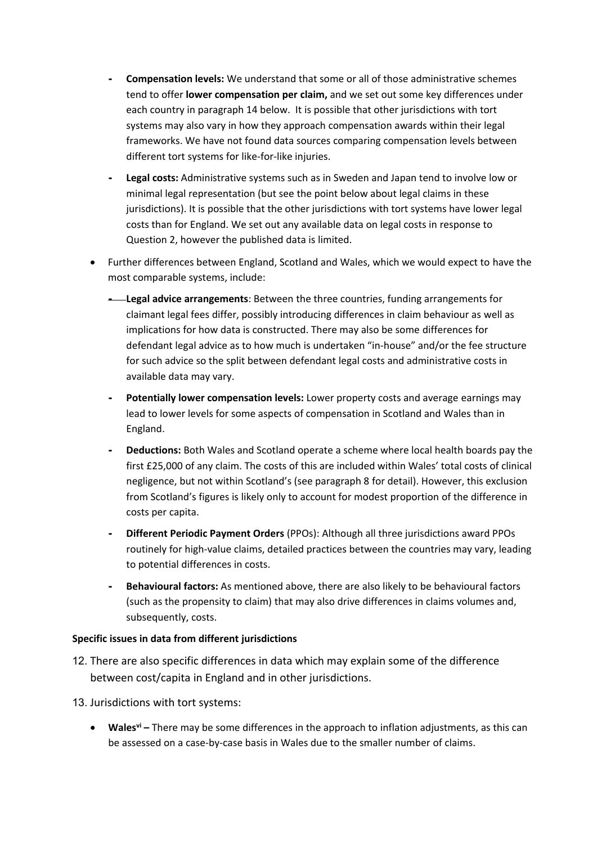- **- Compensation levels:** We understand that some or all of those administrative schemes tend to offer **lower compensation per claim,** and we set out some key differences under each country in paragraph 14 below. It is possible that other jurisdictions with tort systems may also vary in how they approach compensation awards within their legal frameworks. We have not found data sources comparing compensation levels between different tort systems for like-for-like injuries.
- **- Legal costs:** Administrative systems such as in Sweden and Japan tend to involve low or minimal legal representation (but see the point below about legal claims in these jurisdictions). It is possible that the other jurisdictions with tort systems have lower legal costs than for England. We set out any available data on legal costs in response to Question 2, however the published data is limited.
- Further differences between England, Scotland and Wales, which we would expect to have the most comparable systems, include:
	- **- Legal advice arrangements**: Between the three countries, funding arrangements for claimant legal fees differ, possibly introducing differences in claim behaviour as well as implications for how data is constructed. There may also be some differences for defendant legal advice as to how much is undertaken "in-house" and/or the fee structure for such advice so the split between defendant legal costs and administrative costs in available data may vary.
	- **- Potentially lower compensation levels:** Lower property costs and average earnings may lead to lower levels for some aspects of compensation in Scotland and Wales than in England.
	- **- Deductions:** Both Wales and Scotland operate a scheme where local health boards pay the first £25,000 of any claim. The costs of this are included within Wales' total costs of clinical negligence, but not within Scotland's (see paragraph 8 for detail). However, this exclusion from Scotland's figures is likely only to account for modest proportion of the difference in costs per capita.
	- **- Different Periodic Payment Orders** (PPOs): Although all three jurisdictions award PPOs routinely for high-value claims, detailed practices between the countries may vary, leading to potential differences in costs.
	- **- Behavioural factors:** As mentioned above, there are also likely to be behavioural factors (such as the propensity to claim) that may also drive differences in claims volumes and, subsequently, costs.

#### **Specific issues in data from different jurisdictions**

- 12. There are also specific differences in data which may explain some of the difference between cost/capita in England and in other jurisdictions.
- 13. Jurisdictions with tort systems:
	- **Walesvi –** There may be some differences in the approach to inflation adjustments, as this can be assessed on a case-by-case basis in Wales due to the smaller number of claims.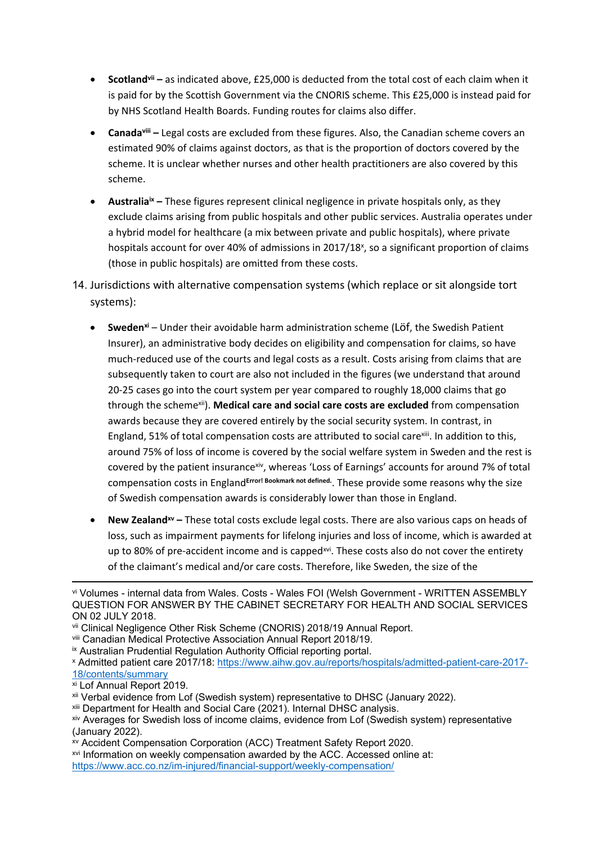- **Scotlandvii –** as indicated above, £25,000 is deducted from the total cost of each claim when it is paid for by the Scottish Government via the CNORIS scheme. This £25,000 is instead paid for by NHS Scotland Health Boards. Funding routes for claims also differ.
- **Canadaviii –** Legal costs are excluded from these figures. Also, the Canadian scheme covers an estimated 90% of claims against doctors, as that is the proportion of doctors covered by the scheme. It is unclear whether nurses and other health practitioners are also covered by this scheme.
- **•** Australia<sup>ix</sup> These figures represent clinical negligence in private hospitals only, as they exclude claims arising from public hospitals and other public services. Australia operates under a hybrid model for healthcare (a mix between private and public hospitals), where private hospitals account for over 40% of admissions in 2017/18<sup>x</sup>, so a significant proportion of claims (those in public hospitals) are omitted from these costs.
- 14. Jurisdictions with alternative compensation systems (which replace or sit alongside tort systems):
	- **Swedenxi** Under their avoidable harm administration scheme (Löf, the Swedish Patient Insurer), an administrative body decides on eligibility and compensation for claims, so have much-reduced use of the courts and legal costs as a result. Costs arising from claims that are subsequently taken to court are also not included in the figures (we understand that around 20-25 cases go into the court system per year compared to roughly 18,000 claims that go through the schemexii). **Medical care and social care costs are excluded** from compensation awards because they are covered entirely by the social security system. In contrast, in England, 51% of total compensation costs are attributed to social care<sup>xiii</sup>. In addition to this, around 75% of loss of income is covered by the social welfare system in Sweden and the rest is covered by the patient insurancexiv, whereas 'Loss of Earnings' accounts for around 7% of total compensation costs in England**Error! Bookmark not defined.** . These provide some reasons why the size of Swedish compensation awards is considerably lower than those in England.
	- **New Zealandxv –** These total costs exclude legal costs. There are also various caps on heads of loss, such as impairment payments for lifelong injuries and loss of income, which is awarded at up to 80% of pre-accident income and is capped<sup>xvi</sup>. These costs also do not cover the entirety of the claimant's medical and/or care costs. Therefore, like Sweden, the size of the

vi Volumes - internal data from Wales. Costs - Wales FOI (Welsh Government - WRITTEN ASSEMBLY QUESTION FOR ANSWER BY THE CABINET SECRETARY FOR HEALTH AND SOCIAL SERVICES ON 02 JULY 2018.

vii Clinical Negligence Other Risk Scheme (CNORIS) 2018/19 Annual Report.

viii Canadian Medical Protective Association Annual Report 2018/19.

ix Australian Prudential Regulation Authority Official reporting portal.

<sup>x</sup> Admitted patient care 2017/18: [https://www.aihw.gov.au/reports/hospitals/admitted-patient-care-2017-](https://www.aihw.gov.au/reports/hospitals/admitted-patient-care-2017-18/contents/summary) [18/contents/summary](https://www.aihw.gov.au/reports/hospitals/admitted-patient-care-2017-18/contents/summary)

xi Lof Annual Report 2019.

<sup>&</sup>lt;sup>xii</sup> Verbal evidence from Lof (Swedish system) representative to DHSC (January 2022).

xiii Department for Health and Social Care (2021). Internal DHSC analysis.

xiv Averages for Swedish loss of income claims, evidence from Lof (Swedish system) representative (January 2022).

xv Accident Compensation Corporation (ACC) Treatment Safety Report 2020.

xvi Information on weekly compensation awarded by the ACC. Accessed online at: <https://www.acc.co.nz/im-injured/financial-support/weekly-compensation/>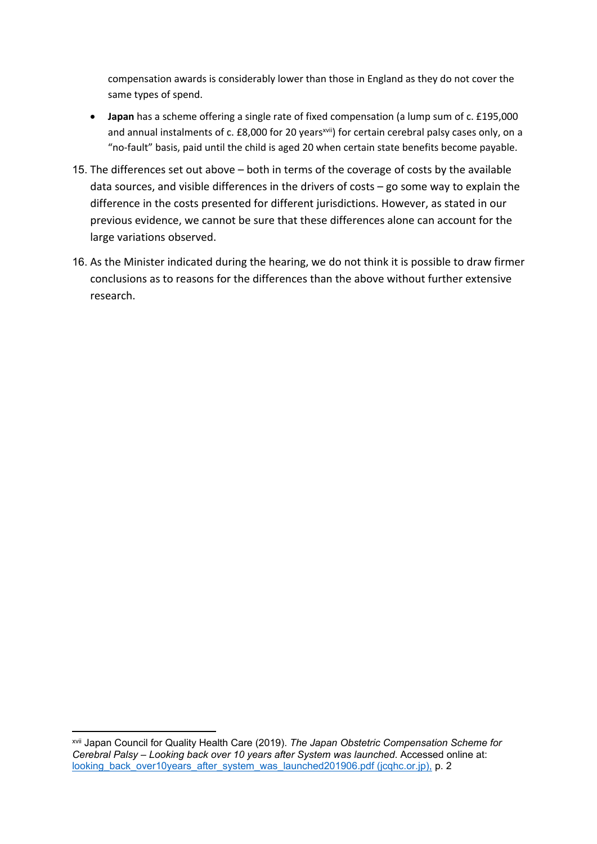compensation awards is considerably lower than those in England as they do not cover the same types of spend.

- **Japan** has a scheme offering a single rate of fixed compensation (a lump sum of c. £195,000 and annual instalments of c. £8,000 for 20 years<sup>xvii</sup>) for certain cerebral palsy cases only, on a "no-fault" basis, paid until the child is aged 20 when certain state benefits become payable.
- 15. The differences set out above both in terms of the coverage of costs by the available data sources, and visible differences in the drivers of costs – go some way to explain the difference in the costs presented for different jurisdictions. However, as stated in our previous evidence, we cannot be sure that these differences alone can account for the large variations observed.
- 16. As the Minister indicated during the hearing, we do not think it is possible to draw firmer conclusions as to reasons for the differences than the above without further extensive research.

xvii Japan Council for Quality Health Care (2019). *The Japan Obstetric Compensation Scheme for Cerebral Palsy – Looking back over 10 years after System was launched*. Accessed online at: [looking\\_back\\_over10years\\_after\\_system\\_was\\_launched201906.pdf](http://www.sanka-hp.jcqhc.or.jp/documents/english/pdf/looking_back_over10years_after_system_was_launched201906.pdf) [\(jcqhc.or.jp\),](http://www.sanka-hp.jcqhc.or.jp/documents/english/pdf/looking_back_over10years_after_system_was_launched201906.pdf) p. 2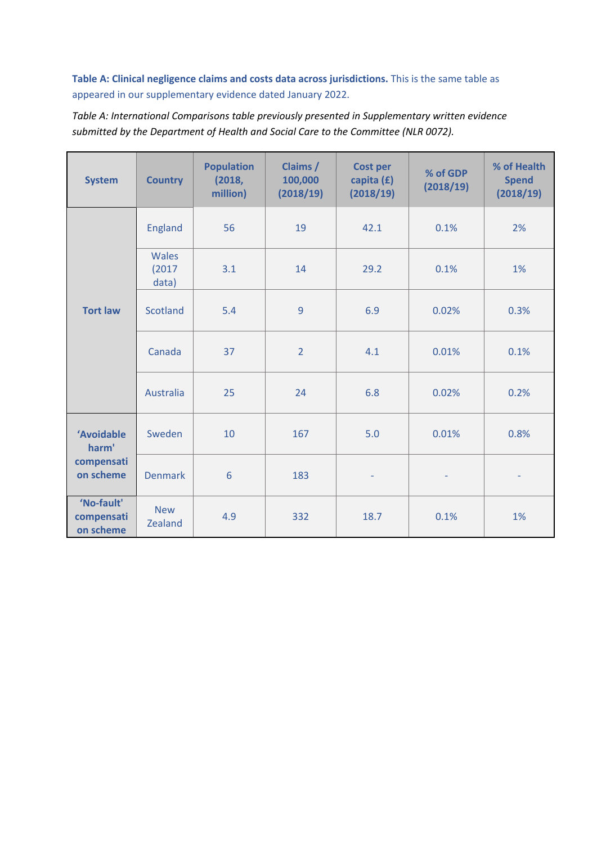**Table A: Clinical negligence claims and costs data across jurisdictions.** This is the same table as appeared in our supplementary evidence dated January 2022.

*Table A: International Comparisons table previously presented in Supplementary written evidence submitted by the Department of Health and Social Care to the Committee (NLR 0072).*

| <b>System</b>                         | <b>Country</b>           | <b>Population</b><br>(2018,<br>million) | Claims /<br>100,000<br>(2018/19) | <b>Cost per</b><br>capita $(f)$<br>(2018/19) | % of GDP<br>(2018/19) | % of Health<br><b>Spend</b><br>(2018/19) |
|---------------------------------------|--------------------------|-----------------------------------------|----------------------------------|----------------------------------------------|-----------------------|------------------------------------------|
|                                       | <b>England</b>           | 56                                      | 19                               | 42.1                                         | 0.1%                  | 2%                                       |
|                                       | Wales<br>(2017)<br>data) | 3.1                                     | 14                               | 29.2                                         | 0.1%                  | 1%                                       |
| <b>Tort law</b>                       | <b>Scotland</b>          | 5.4                                     | 9                                | 6.9                                          | 0.02%                 | 0.3%                                     |
|                                       | Canada                   | 37                                      | $\overline{2}$                   | 4.1                                          | 0.01%                 | 0.1%                                     |
|                                       | Australia                | 25                                      | 24                               | 6.8                                          | 0.02%                 | 0.2%                                     |
| 'Avoidable<br>harm'                   | Sweden                   | 10                                      | 167                              | 5.0                                          | 0.01%                 | 0.8%                                     |
| compensati<br>on scheme               | <b>Denmark</b>           | 6                                       | 183                              | $\overline{\phantom{a}}$                     |                       | $\overline{\phantom{0}}$                 |
| 'No-fault'<br>compensati<br>on scheme | <b>New</b><br>Zealand    | 4.9                                     | 332                              | 18.7                                         | 0.1%                  | 1%                                       |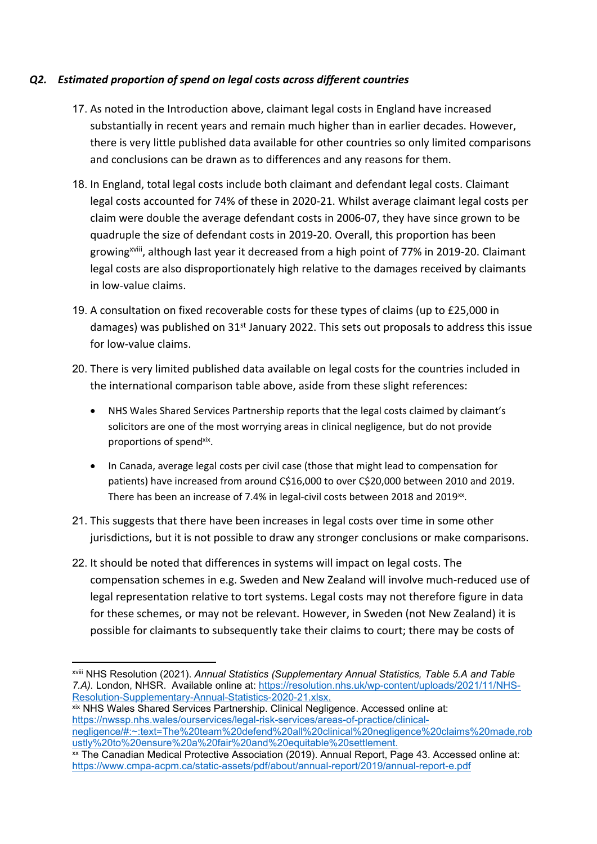# <span id="page-9-0"></span>*Q2. Estimated proportion of spend on legal costs across different countries*

- 17. As noted in the Introduction above, claimant legal costs in England have increased substantially in recent years and remain much higher than in earlier decades. However, there is very little published data available for other countries so only limited comparisons and conclusions can be drawn as to differences and any reasons for them.
- 18. In England, total legal costs include both claimant and defendant legal costs. Claimant legal costs accounted for 74% of these in 2020-21. Whilst average claimant legal costs per claim were double the average defendant costs in 2006-07, they have since grown to be quadruple the size of defendant costs in 2019-20. Overall, this proportion has been growing<sup>xviii</sup>, although last year it decreased from a high point of 77% in 2019-20. Claimant legal costs are also disproportionately high relative to the damages received by claimants in low-value claims.
- 19. A consultation on fixed recoverable costs for these types of claims (up to £25,000 in damages) was published on 31<sup>st</sup> January 2022. This sets out proposals to address this issue for low-value claims.
- 20. There is very limited published data available on legal costs for the countries included in the international comparison table above, aside from these slight references:
	- NHS Wales Shared Services Partnership reports that the legal costs claimed by claimant's solicitors are one of the most worrying areas in clinical negligence, but do not provide proportions of spendxix.
	- In Canada, average legal costs per civil case (those that might lead to compensation for patients) have increased from around C\$16,000 to over C\$20,000 between 2010 and 2019. There has been an increase of 7.4% in legal-civil costs between 2018 and 2019 $^{xx}$ .
- 21. This suggests that there have been increases in legal costs over time in some other jurisdictions, but it is not possible to draw any stronger conclusions or make comparisons.
- 22. It should be noted that differences in systems will impact on legal costs. The compensation schemes in e.g. Sweden and New Zealand will involve much-reduced use of legal representation relative to tort systems. Legal costs may not therefore figure in data for these schemes, or may not be relevant. However, in Sweden (not New Zealand) it is possible for claimants to subsequently take their claims to court; there may be costs of

xix NHS Wales Shared Services Partnership. Clinical Negligence. Accessed online at: [https://nwssp.nhs.wales/ourservices/legal-risk-services/areas-of-practice/clinical](https://nwssp.nhs.wales/ourservices/legal-risk-services/areas-of-practice/clinical-negligence/#:~:text=The%20team%20defend%20all%20clinical%20negligence%20claims%20made,robustly%20to%20ensure%20a%20fair%20and%20equitable%20settlement.)[negligence/#:~:text=The%20team%20defend%20all%20clinical%20negligence%20claims%20made,rob](https://nwssp.nhs.wales/ourservices/legal-risk-services/areas-of-practice/clinical-negligence/#:~:text=The%20team%20defend%20all%20clinical%20negligence%20claims%20made,robustly%20to%20ensure%20a%20fair%20and%20equitable%20settlement.) [ustly%20to%20ensure%20a%20fair%20and%20equitable%20settlement.](https://nwssp.nhs.wales/ourservices/legal-risk-services/areas-of-practice/clinical-negligence/#:~:text=The%20team%20defend%20all%20clinical%20negligence%20claims%20made,robustly%20to%20ensure%20a%20fair%20and%20equitable%20settlement.)

xviii NHS Resolution (2021). *Annual Statistics (Supplementary Annual Statistics, Table 5.A and Table 7.A).* London, NHSR. Available online at: [https://resolution.nhs.uk/wp-content/uploads/2021/11/NHS-](https://resolution.nhs.uk/wp-content/uploads/2021/11/NHS-Resolution-Supplementary-Annual-Statistics-2020-21.xlsx)[Resolution-Supplementary-Annual-Statistics-2020-21.xlsx.](https://resolution.nhs.uk/wp-content/uploads/2021/11/NHS-Resolution-Supplementary-Annual-Statistics-2020-21.xlsx)

xx The Canadian Medical Protective Association (2019). Annual Report, Page 43. Accessed online at: <https://www.cmpa-acpm.ca/static-assets/pdf/about/annual-report/2019/annual-report-e.pdf>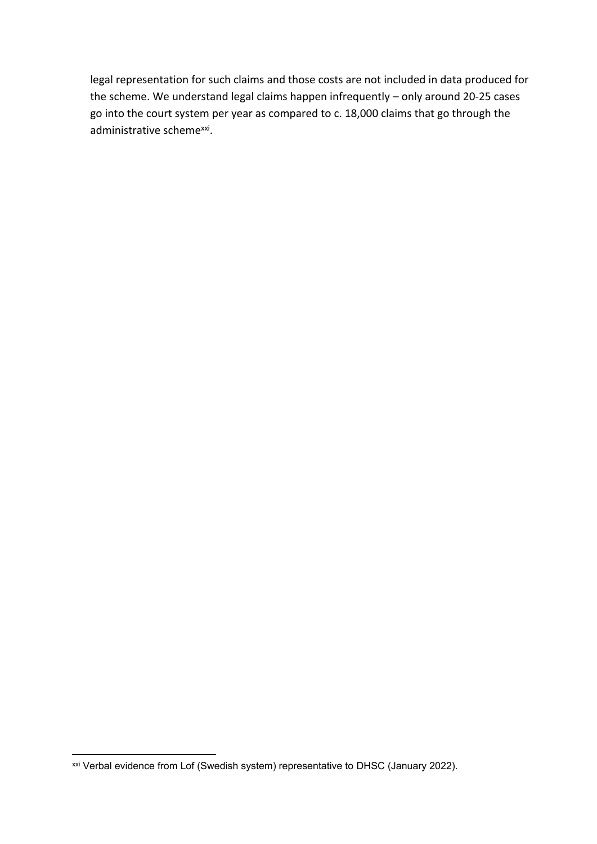legal representation for such claims and those costs are not included in data produced for the scheme. We understand legal claims happen infrequently – only around 20-25 cases go into the court system per year as compared to c. 18,000 claims that go through the administrative scheme<sup>xxi</sup>.

xxi Verbal evidence from Lof (Swedish system) representative to DHSC (January 2022).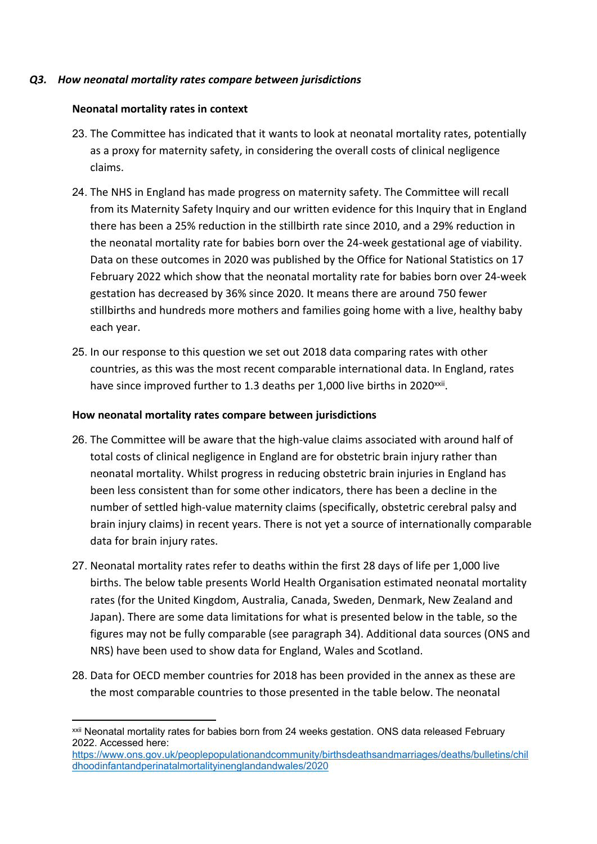## <span id="page-11-0"></span>*Q3. How neonatal mortality rates compare between jurisdictions*

#### **Neonatal mortality rates in context**

- 23. The Committee has indicated that it wants to look at neonatal mortality rates, potentially as a proxy for maternity safety, in considering the overall costs of clinical negligence claims.
- 24. The NHS in England has made progress on maternity safety. The Committee will recall from its Maternity Safety Inquiry and our written evidence for this Inquiry that in England there has been a 25% reduction in the stillbirth rate since 2010, and a 29% reduction in the neonatal mortality rate for babies born over the 24-week gestational age of viability. Data on these outcomes in 2020 was published by the Office for National Statistics on 17 February 2022 which show that the neonatal mortality rate for babies born over 24-week gestation has decreased by 36% since 2020. It means there are around 750 fewer stillbirths and hundreds more mothers and families going home with a live, healthy baby each year.
- 25. In our response to this question we set out 2018 data comparing rates with other countries, as this was the most recent comparable international data. In England, rates have since improved further to 1.3 deaths per 1,000 live births in 2020<sup>xxii</sup>.

## **How neonatal mortality rates compare between jurisdictions**

- 26. The Committee will be aware that the high-value claims associated with around half of total costs of clinical negligence in England are for obstetric brain injury rather than neonatal mortality. Whilst progress in reducing obstetric brain injuries in England has been less consistent than for some other indicators, there has been a decline in the number of settled high-value maternity claims (specifically, obstetric cerebral palsy and brain injury claims) in recent years. There is not yet a source of internationally comparable data for brain injury rates.
- 27. Neonatal mortality rates refer to deaths within the first 28 days of life per 1,000 live births. The below table presents World Health Organisation estimated neonatal mortality rates (for the United Kingdom, Australia, Canada, Sweden, Denmark, New Zealand and Japan). There are some data limitations for what is presented below in the table, so the figures may not be fully comparable (see paragraph 34). Additional data sources (ONS and NRS) have been used to show data for England, Wales and Scotland.
- 28. Data for OECD member countries for 2018 has been provided in the annex as these are the most comparable countries to those presented in the table below. The neonatal

xxii Neonatal mortality rates for babies born from 24 weeks gestation. ONS data released February 2022. Accessed here:

[https://www.ons.gov.uk/peoplepopulationandcommunity/birthsdeathsandmarriages/deaths/bulletins/chil](https://www.ons.gov.uk/peoplepopulationandcommunity/birthsdeathsandmarriages/deaths/bulletins/childhoodinfantandperinatalmortalityinenglandandwales/2020) [dhoodinfantandperinatalmortalityinenglandandwales/2020](https://www.ons.gov.uk/peoplepopulationandcommunity/birthsdeathsandmarriages/deaths/bulletins/childhoodinfantandperinatalmortalityinenglandandwales/2020)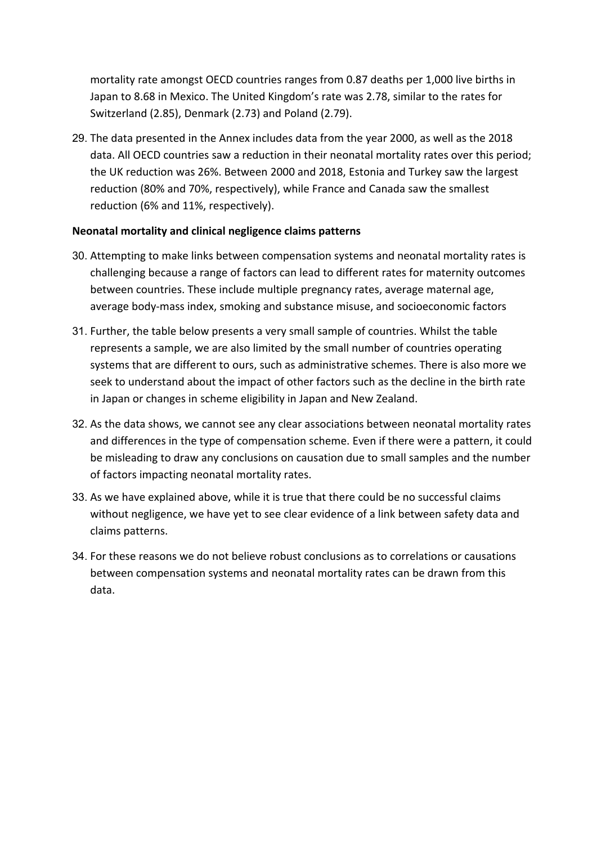mortality rate amongst OECD countries ranges from 0.87 deaths per 1,000 live births in Japan to 8.68 in Mexico. The United Kingdom's rate was 2.78, similar to the rates for Switzerland (2.85), Denmark (2.73) and Poland (2.79).

29. The data presented in the Annex includes data from the year 2000, as well as the 2018 data. All OECD countries saw a reduction in their neonatal mortality rates over this period; the UK reduction was 26%. Between 2000 and 2018, Estonia and Turkey saw the largest reduction (80% and 70%, respectively), while France and Canada saw the smallest reduction (6% and 11%, respectively).

## **Neonatal mortality and clinical negligence claims patterns**

- 30. Attempting to make links between compensation systems and neonatal mortality rates is challenging because a range of factors can lead to different rates for maternity outcomes between countries. These include multiple pregnancy rates, average maternal age, average body-mass index, smoking and substance misuse, and socioeconomic factors
- 31. Further, the table below presents a very small sample of countries. Whilst the table represents a sample, we are also limited by the small number of countries operating systems that are different to ours, such as administrative schemes. There is also more we seek to understand about the impact of other factors such as the decline in the birth rate in Japan or changes in scheme eligibility in Japan and New Zealand.
- 32. As the data shows, we cannot see any clear associations between neonatal mortality rates and differences in the type of compensation scheme. Even if there were a pattern, it could be misleading to draw any conclusions on causation due to small samples and the number of factors impacting neonatal mortality rates.
- 33. As we have explained above, while it is true that there could be no successful claims without negligence, we have yet to see clear evidence of a link between safety data and claims patterns.
- 34. For these reasons we do not believe robust conclusions as to correlations or causations between compensation systems and neonatal mortality rates can be drawn from this data.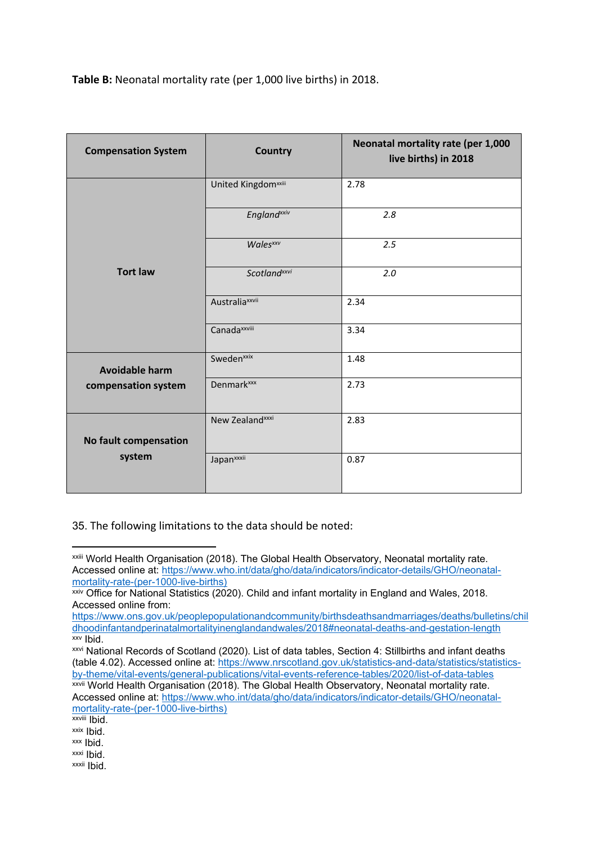**Table B:** Neonatal mortality rate (per 1,000 live births) in 2018.

| <b>Compensation System</b> | <b>Country</b>                | Neonatal mortality rate (per 1,000<br>live births) in 2018 |
|----------------------------|-------------------------------|------------------------------------------------------------|
|                            | <b>United Kingdomxxiii</b>    | 2.78                                                       |
|                            | <b>England</b> xxiv           | 2.8                                                        |
|                            | <b>Wales</b> xxv              | 2.5                                                        |
| <b>Tort law</b>            | <b>Scotland</b> xxvi          | 2.0                                                        |
|                            | Australia <sup>xxvii</sup>    | 2.34                                                       |
|                            | Canada <sup>xxviii</sup>      | 3.34                                                       |
| <b>Avoidable harm</b>      | Sweden <sup>xxix</sup>        | 1.48                                                       |
| compensation system        | <b>Denmark</b> <sup>xxx</sup> | 2.73                                                       |
|                            | New Zealand <sup>xxxi</sup>   | 2.83                                                       |
| No fault compensation      |                               |                                                            |
| system                     | Japan <sup>xxxii</sup>        | 0.87                                                       |

35. The following limitations to the data should be noted:

xxviii Ibid.

xxxii Ibid.

xxiii World Health Organisation (2018). The Global Health Observatory, Neonatal mortality rate. Accessed online at: [https://www.who.int/data/gho/data/indicators/indicator-details/GHO/neonatal](https://www.who.int/data/gho/data/indicators/indicator-details/GHO/neonatal-mortality-rate-(per-1000-live-births))[mortality-rate-\(per-1000-live-births\)](https://www.who.int/data/gho/data/indicators/indicator-details/GHO/neonatal-mortality-rate-(per-1000-live-births))

xxiv Office for National Statistics (2020). Child and infant mortality in England and Wales, 2018. Accessed online from:

[https://www.ons.gov.uk/peoplepopulationandcommunity/birthsdeathsandmarriages/deaths/bulletins/chil](https://www.ons.gov.uk/peoplepopulationandcommunity/birthsdeathsandmarriages/deaths/bulletins/childhoodinfantandperinatalmortalityinenglandandwales/2018#neonatal-deaths-and-gestation-length) [dhoodinfantandperinatalmortalityinenglandandwales/2018#neonatal-deaths-and-gestation-length](https://www.ons.gov.uk/peoplepopulationandcommunity/birthsdeathsandmarriages/deaths/bulletins/childhoodinfantandperinatalmortalityinenglandandwales/2018#neonatal-deaths-and-gestation-length) xxv Ibid.

xxvi National Records of Scotland (2020). List of data tables, Section 4: Stillbirths and infant deaths (table 4.02). Accessed online at: [https://www.nrscotland.gov.uk/statistics-and-data/statistics/statistics](https://www.nrscotland.gov.uk/statistics-and-data/statistics/statistics-by-theme/vital-events/general-publications/vital-events-reference-tables/2020/list-of-data-tables)[by-theme/vital-events/general-publications/vital-events-reference-tables/2020/list-of-data-tables](https://www.nrscotland.gov.uk/statistics-and-data/statistics/statistics-by-theme/vital-events/general-publications/vital-events-reference-tables/2020/list-of-data-tables)

**xxvii World Health Organisation (2018). The Global Health Observatory, Neonatal mortality rate.** Accessed online at: [https://www.who.int/data/gho/data/indicators/indicator-details/GHO/neonatal](https://www.who.int/data/gho/data/indicators/indicator-details/GHO/neonatal-mortality-rate-(per-1000-live-births))[mortality-rate-\(per-1000-live-births\)](https://www.who.int/data/gho/data/indicators/indicator-details/GHO/neonatal-mortality-rate-(per-1000-live-births))

xxix Ibid.

xxx Ibid. xxxi Ibid.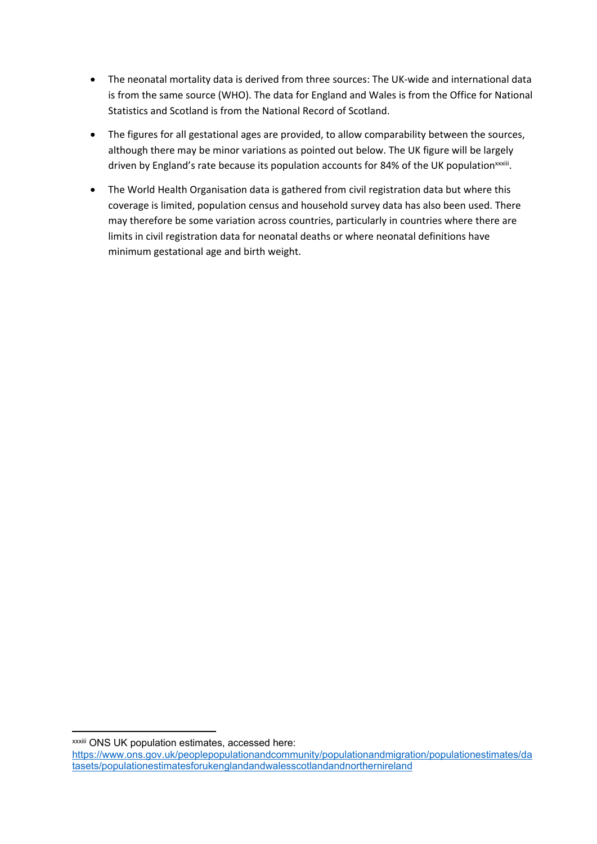- The neonatal mortality data is derived from three sources: The UK-wide and international data is from the same source (WHO). The data for England and Wales is from the Office for National Statistics and Scotland is from the National Record of Scotland.
- The figures for all gestational ages are provided, to allow comparability between the sources, although there may be minor variations as pointed out below. The UK figure will be largely driven by England's rate because its population accounts for 84% of the UK population<sup>xxxiii</sup>.
- The World Health Organisation data is gathered from civil registration data but where this coverage is limited, population census and household survey data has also been used. There may therefore be some variation across countries, particularly in countries where there are limits in civil registration data for neonatal deaths or where neonatal definitions have minimum gestational age and birth weight.

xxxiii ONS UK population estimates, accessed here:

[https://www.ons.gov.uk/peoplepopulationandcommunity/populationandmigration/populationestimates/da](https://www.ons.gov.uk/peoplepopulationandcommunity/populationandmigration/populationestimates/datasets/populationestimatesforukenglandandwalesscotlandandnorthernireland) [tasets/populationestimatesforukenglandandwalesscotlandandnorthernireland](https://www.ons.gov.uk/peoplepopulationandcommunity/populationandmigration/populationestimates/datasets/populationestimatesforukenglandandwalesscotlandandnorthernireland)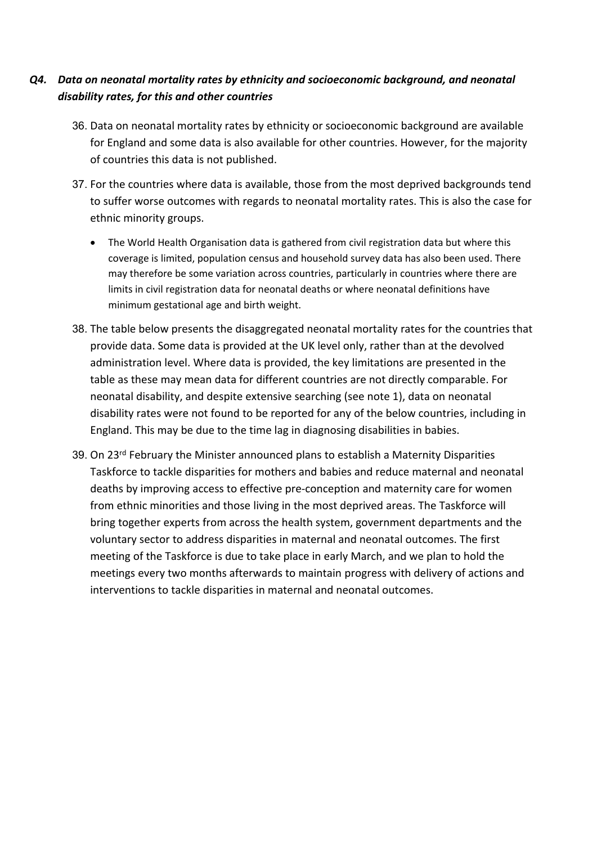# <span id="page-15-0"></span>*Q4. Data on neonatal mortality rates by ethnicity and socioeconomic background, and neonatal disability rates, for this and other countries*

- 36. Data on neonatal mortality rates by ethnicity or socioeconomic background are available for England and some data is also available for other countries. However, for the majority of countries this data is not published.
- 37. For the countries where data is available, those from the most deprived backgrounds tend to suffer worse outcomes with regards to neonatal mortality rates. This is also the case for ethnic minority groups.
	- The World Health Organisation data is gathered from civil registration data but where this coverage is limited, population census and household survey data has also been used. There may therefore be some variation across countries, particularly in countries where there are limits in civil registration data for neonatal deaths or where neonatal definitions have minimum gestational age and birth weight.
- 38. The table below presents the disaggregated neonatal mortality rates for the countries that provide data. Some data is provided at the UK level only, rather than at the devolved administration level. Where data is provided, the key limitations are presented in the table as these may mean data for different countries are not directly comparable. For neonatal disability, and despite extensive searching (see note 1), data on neonatal disability rates were not found to be reported for any of the below countries, including in England. This may be due to the time lag in diagnosing disabilities in babies.
- 39. On 23<sup>rd</sup> February the Minister announced plans to establish a Maternity Disparities Taskforce to tackle disparities for mothers and babies and reduce maternal and neonatal deaths by improving access to effective pre-conception and maternity care for women from ethnic minorities and those living in the most deprived areas. The Taskforce will bring together experts from across the health system, government departments and the voluntary sector to address disparities in maternal and neonatal outcomes. The first meeting of the Taskforce is due to take place in early March, and we plan to hold the meetings every two months afterwards to maintain progress with delivery of actions and interventions to tackle disparities in maternal and neonatal outcomes.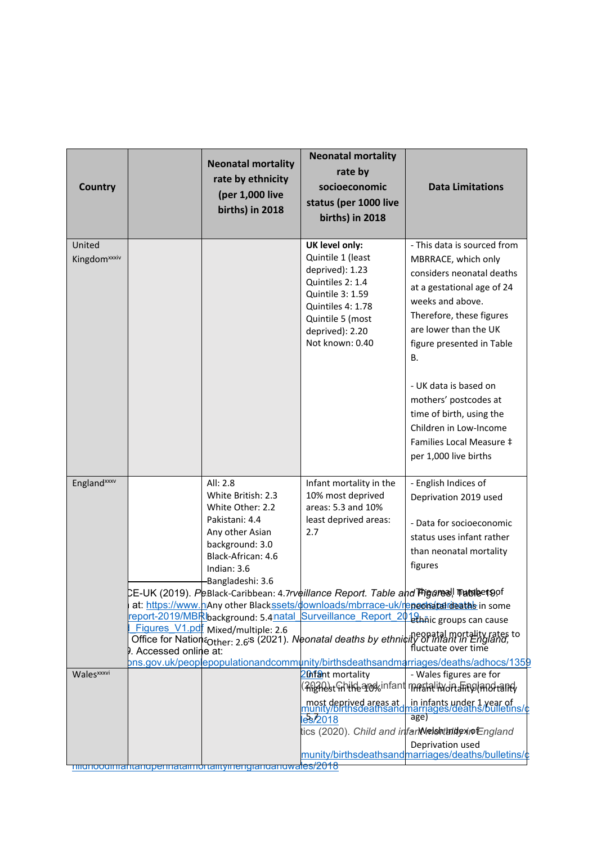| <b>Country</b>                     |                       | <b>Neonatal mortality</b><br>rate by ethnicity<br>(per 1,000 live<br>births) in 2018                                                            | <b>Neonatal mortality</b><br>rate by<br>socioeconomic<br>status (per 1000 live<br>births) in 2018                                                                             | <b>Data Limitations</b>                                                                                                                                                                                                                                                                                                                                                       |
|------------------------------------|-----------------------|-------------------------------------------------------------------------------------------------------------------------------------------------|-------------------------------------------------------------------------------------------------------------------------------------------------------------------------------|-------------------------------------------------------------------------------------------------------------------------------------------------------------------------------------------------------------------------------------------------------------------------------------------------------------------------------------------------------------------------------|
| United<br>Kingdom <sup>xxxiv</sup> |                       |                                                                                                                                                 | UK level only:<br>Quintile 1 (least<br>deprived): 1.23<br>Quintiles 2: 1.4<br>Quintile 3: 1.59<br>Quintiles 4: 1.78<br>Quintile 5 (most<br>deprived): 2.20<br>Not known: 0.40 | - This data is sourced from<br>MBRRACE, which only<br>considers neonatal deaths<br>at a gestational age of 24<br>weeks and above.<br>Therefore, these figures<br>are lower than the UK<br>figure presented in Table<br>В.                                                                                                                                                     |
|                                    |                       |                                                                                                                                                 |                                                                                                                                                                               | - UK data is based on<br>mothers' postcodes at<br>time of birth, using the<br>Children in Low-Income<br>Families Local Measure ‡<br>per 1,000 live births                                                                                                                                                                                                                     |
| England <sup>xxxv</sup>            |                       | All: 2.8<br>White British: 2.3<br>White Other: 2.2<br>Pakistani: 4.4<br>Any other Asian<br>background: 3.0<br>Black-African: 4.6<br>Indian: 3.6 | Infant mortality in the<br>10% most deprived<br>areas: 5.3 and 10%<br>least deprived areas:<br>2.7                                                                            | - English Indices of<br>Deprivation 2019 used<br>- Data for socioeconomic<br>status uses infant rather<br>than neonatal mortality<br>figures                                                                                                                                                                                                                                  |
|                                    | . Accessed online at: | Bangladeshi: 3.6<br>Figures_V1.pdf Mixed/multiple: 2.6                                                                                          | CE-UK (2019). PeBlack-Caribbean: 4.7rveillance Report. Table and मांgares! गablee 190f<br>eport-2019/MBRIbackground: 5.4 natal Surveillance Report 2018 haic groups can cause | at: https://www.hAny other Blackssets/downloads/mbrrace-uk/repects talideatas in some<br>$\frac{1}{2}$ igui es V i.put Mixed/multiple: 2.6<br>Office for Nation <sub>Other</sub> : 2.6 <sup>'s</sup> (2021). Neonatal deaths by ethnicity of infant in England,<br>Accessed online at:<br>pns.gov.uk/peoplepopulationandcommunity/birthsdeathsandmarriages/deaths/adhocs/1359 |
| Wales <sup>xxxvi</sup>             |                       | migrioodiniahtangperinataimortalitymengiangangwalles/2018                                                                                       | 20 fant mortality<br>most deprived areas at<br>munity/birthsdeathsand<br>les/2018                                                                                             | - Wales figures are for<br>(Al)ADstGhilfbarochinfant mastalityJhafinglandtant)<br>in infants under 1 year of<br>narriages/deaths/bulletins/c<br>age)<br>tics (2020). Child and infanWelshthidexioEngland<br>Deprivation used<br>munity/birthsdeathsandmarriages/deaths/bulletins/c                                                                                            |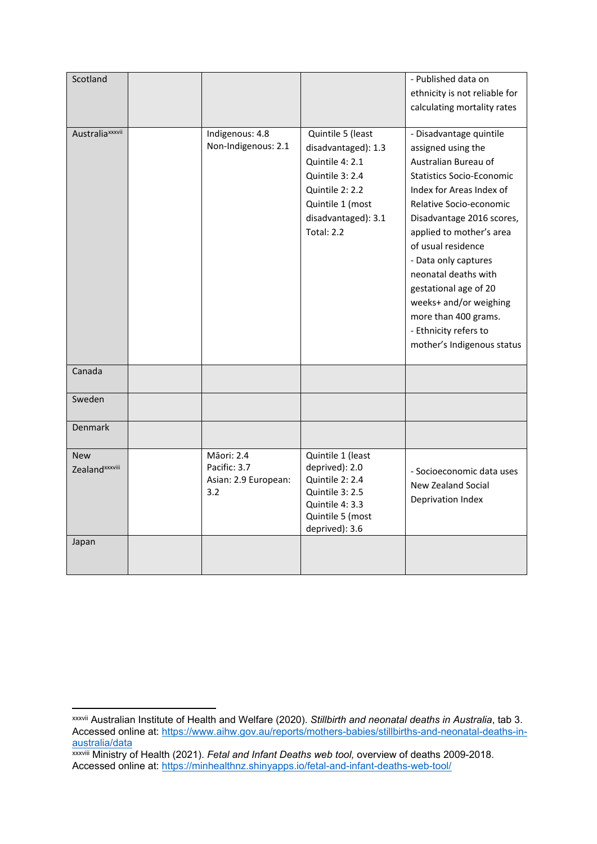| Scotland                             |                                                           |                                                                                                                                                                   | - Published data on<br>ethnicity is not reliable for                                                                                                                                                                                                                                                                                                                                                                              |
|--------------------------------------|-----------------------------------------------------------|-------------------------------------------------------------------------------------------------------------------------------------------------------------------|-----------------------------------------------------------------------------------------------------------------------------------------------------------------------------------------------------------------------------------------------------------------------------------------------------------------------------------------------------------------------------------------------------------------------------------|
|                                      |                                                           |                                                                                                                                                                   | calculating mortality rates                                                                                                                                                                                                                                                                                                                                                                                                       |
| Australia <sup>xxxvii</sup>          | Indigenous: 4.8<br>Non-Indigenous: 2.1                    | Quintile 5 (least<br>disadvantaged): 1.3<br>Quintile 4: 2.1<br>Quintile 3: 2.4<br>Quintile 2: 2.2<br>Quintile 1 (most<br>disadvantaged): 3.1<br><b>Total: 2.2</b> | - Disadvantage quintile<br>assigned using the<br>Australian Bureau of<br><b>Statistics Socio-Economic</b><br>Index for Areas Index of<br>Relative Socio-economic<br>Disadvantage 2016 scores,<br>applied to mother's area<br>of usual residence<br>- Data only captures<br>neonatal deaths with<br>gestational age of 20<br>weeks+ and/or weighing<br>more than 400 grams.<br>- Ethnicity refers to<br>mother's Indigenous status |
| Canada                               |                                                           |                                                                                                                                                                   |                                                                                                                                                                                                                                                                                                                                                                                                                                   |
| Sweden                               |                                                           |                                                                                                                                                                   |                                                                                                                                                                                                                                                                                                                                                                                                                                   |
| <b>Denmark</b>                       |                                                           |                                                                                                                                                                   |                                                                                                                                                                                                                                                                                                                                                                                                                                   |
| <b>New</b><br><b>Zealand</b> xxxviii | Māori: 2.4<br>Pacific: 3.7<br>Asian: 2.9 European:<br>3.2 | Quintile 1 (least<br>deprived): 2.0<br>Quintile 2: 2.4<br>Quintile 3: 2.5<br>Quintile 4: 3.3<br>Quintile 5 (most<br>deprived): 3.6                                | - Socioeconomic data uses<br>New Zealand Social<br>Deprivation Index                                                                                                                                                                                                                                                                                                                                                              |
| Japan                                |                                                           |                                                                                                                                                                   |                                                                                                                                                                                                                                                                                                                                                                                                                                   |

xxxvii Australian Institute of Health and Welfare (2020). *Stillbirth and neonatal deaths in Australia*, tab 3. Accessed online at: [https://www.aihw.gov.au/reports/mothers-babies/stillbirths-and-neonatal-deaths-in](https://www.aihw.gov.au/reports/mothers-babies/stillbirths-and-neonatal-deaths-in-australia/data)[australia/data](https://www.aihw.gov.au/reports/mothers-babies/stillbirths-and-neonatal-deaths-in-australia/data)

xxxviii Ministry of Health (2021). *Fetal and Infant Deaths web tool,* overview of deaths 2009-2018. Accessed online at: <https://minhealthnz.shinyapps.io/fetal-and-infant-deaths-web-tool/>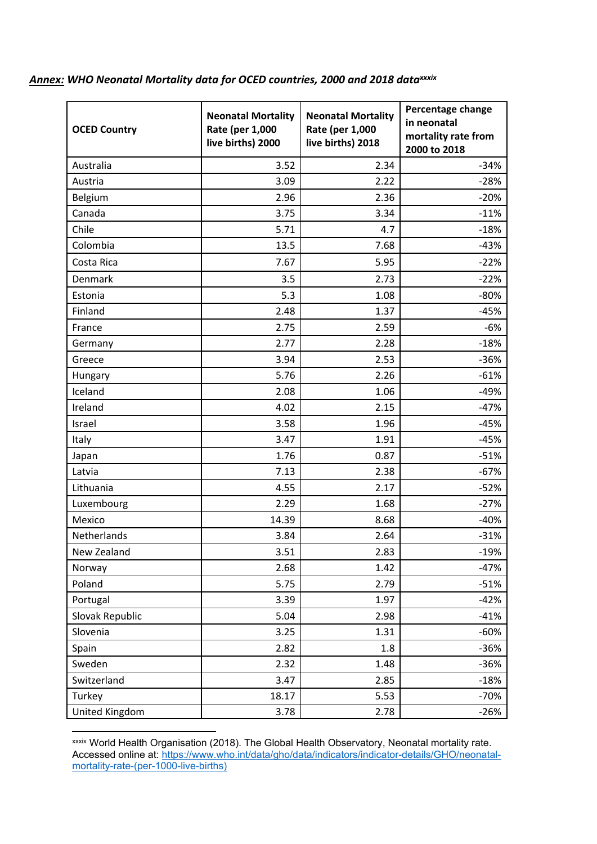# <span id="page-18-0"></span>*Annex: WHO Neonatal Mortality data for OCED countries, 2000 and 2018 dataxxxix*

| <b>OCED Country</b> | <b>Neonatal Mortality</b><br>Rate (per 1,000<br>live births) 2000 | <b>Neonatal Mortality</b><br>Rate (per 1,000<br>live births) 2018 | Percentage change<br>in neonatal<br>mortality rate from<br>2000 to 2018 |
|---------------------|-------------------------------------------------------------------|-------------------------------------------------------------------|-------------------------------------------------------------------------|
| Australia           | 3.52                                                              | 2.34                                                              | $-34%$                                                                  |
| Austria             | 3.09                                                              | 2.22                                                              | $-28%$                                                                  |
| Belgium             | 2.96                                                              | 2.36                                                              | $-20%$                                                                  |
| Canada              | 3.75                                                              | 3.34                                                              | $-11%$                                                                  |
| Chile               | 5.71                                                              | 4.7                                                               | $-18%$                                                                  |
| Colombia            | 13.5                                                              | 7.68                                                              | $-43%$                                                                  |
| Costa Rica          | 7.67                                                              | 5.95                                                              | $-22%$                                                                  |
| Denmark             | 3.5                                                               | 2.73                                                              | $-22%$                                                                  |
| Estonia             | 5.3                                                               | 1.08                                                              | $-80%$                                                                  |
| Finland             | 2.48                                                              | 1.37                                                              | $-45%$                                                                  |
| France              | 2.75                                                              | 2.59                                                              | -6%                                                                     |
| Germany             | 2.77                                                              | 2.28                                                              | $-18%$                                                                  |
| Greece              | 3.94                                                              | 2.53                                                              | $-36%$                                                                  |
| Hungary             | 5.76                                                              | 2.26                                                              | $-61%$                                                                  |
| Iceland             | 2.08                                                              | 1.06                                                              | $-49%$                                                                  |
| Ireland             | 4.02                                                              | 2.15                                                              | $-47%$                                                                  |
| Israel              | 3.58                                                              | 1.96                                                              | $-45%$                                                                  |
| Italy               | 3.47                                                              | 1.91                                                              | $-45%$                                                                  |
| Japan               | 1.76                                                              | 0.87                                                              | $-51%$                                                                  |
| Latvia              | 7.13                                                              | 2.38                                                              | $-67%$                                                                  |
| Lithuania           | 4.55                                                              | 2.17                                                              | $-52%$                                                                  |
| Luxembourg          | 2.29                                                              | 1.68                                                              | $-27%$                                                                  |
| Mexico              | 14.39                                                             | 8.68                                                              | $-40%$                                                                  |
| Netherlands         | 3.84                                                              | 2.64                                                              | $-31%$                                                                  |
| New Zealand         | 3.51                                                              | 2.83                                                              | $-19%$                                                                  |
| Norway              | 2.68                                                              | 1.42                                                              | $-47%$                                                                  |
| Poland              | 5.75                                                              | 2.79                                                              | $-51%$                                                                  |
| Portugal            | 3.39                                                              | 1.97                                                              | $-42%$                                                                  |
| Slovak Republic     | 5.04                                                              | 2.98                                                              | $-41%$                                                                  |
| Slovenia            | 3.25                                                              | 1.31                                                              | $-60%$                                                                  |
| Spain               | 2.82                                                              | 1.8                                                               | $-36%$                                                                  |
| Sweden              | 2.32                                                              | 1.48                                                              | $-36%$                                                                  |
| Switzerland         | 3.47                                                              | 2.85                                                              | $-18%$                                                                  |
| Turkey              | 18.17                                                             | 5.53                                                              | $-70%$                                                                  |
| United Kingdom      | 3.78                                                              | 2.78                                                              | $-26%$                                                                  |

xxxix World Health Organisation (2018). The Global Health Observatory, Neonatal mortality rate. Accessed online at: [https://www.who.int/data/gho/data/indicators/indicator-details/GHO/neonatal](https://www.who.int/data/gho/data/indicators/indicator-details/GHO/neonatal-mortality-rate-(per-1000-live-births))[mortality-rate-\(per-1000-live-births\)](https://www.who.int/data/gho/data/indicators/indicator-details/GHO/neonatal-mortality-rate-(per-1000-live-births))